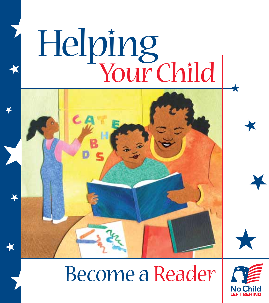



## Become a Reader

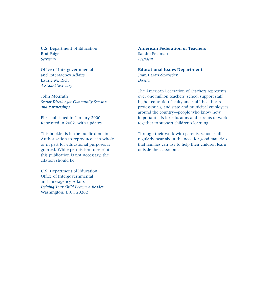U.S. Department of Education Rod Paige *Secretary* 

Office of Intergovernmental and Interagency Affairs Laurie M. Rich *Assistant Secretary*

John McGrath *Senior Director for Community Services and Partnerships*

First published in January 2000. Reprinted in 2002, with updates.

This booklet is in the public domain. Authorization to reproduce it in whole or in part for educational purposes is granted. While permission to reprint this publication is not necessary, the citation should be:

U.S. Department of Education Office of Intergovernmental and Interagency Affairs *Helping Your Child Become a Reader* Washington, D.C., 20202

**American Federation of Teachers** Sandra Feldman *President*

#### **Educational Issues Department**

Joan Baratz-Snowden *Director*

The American Federation of Teachers represents over one million teachers, school support staff, higher education faculty and staff, health care professionals, and state and municipal employees around the country—people who know how important it is for educators and parents to work together to support children's learning.

Through their work with parents, school staff regularly hear about the need for good materials that families can use to help their children learn outside the classroom.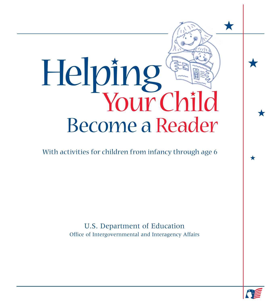# Helping Your Child Become a Reader

With activities for children from infancy through age 6

U.S. Department of Education Office of Intergovernmental and Interagency Affairs

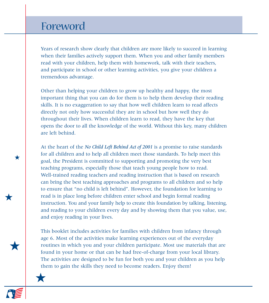## Foreword

Years of research show clearly that children are more likely to succeed in learning when their families actively support them. When you and other family members read with your children, help them with homework, talk with their teachers, and participate in school or other learning activities, you give your children a tremendous advantage.

Other than helping your children to grow up healthy and happy, the most important thing that you can do for them is to help them develop their reading skills. It is no exaggeration to say that how well children learn to read affects directly not only how successful they are in school but how well they do throughout their lives. When children learn to read, they have the key that opens the door to all the knowledge of the world. Without this key, many children are left behind.

At the heart of the *No Child Left Behind Act of 2001* is a promise to raise standards for all children and to help all children meet those standards. To help meet this goal, the President is committed to supporting and promoting the very best teaching programs, especially those that teach young people how to read. Well-trained reading teachers and reading instruction that is based on research can bring the best teaching approaches and programs to all children and so help to ensure that "no child is left behind". However, the foundation for learning to read is in place long before children enter school and begin formal reading instruction. You and your family help to create this foundation by talking, listening, and reading to your children every day and by showing them that you value, use, and enjoy reading in your lives.

This booklet includes activities for families with children from infancy through age 6. Most of the activities make learning experiences out of the everyday routines in which you and your children participate. Most use materials that are found in your home or that can be had free-of-charge from your local library. The activities are designed to be fun for both you and your children as you help them to gain the skills they need to become readers. Enjoy them!

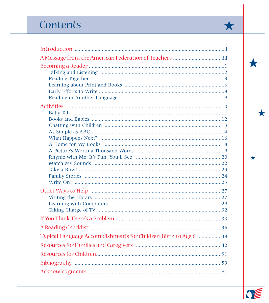## Contents

| Typical Language Accomplishments for Children, Birth to Age 6 38 |
|------------------------------------------------------------------|
|                                                                  |
|                                                                  |
|                                                                  |
|                                                                  |



Х

 $\star$ 



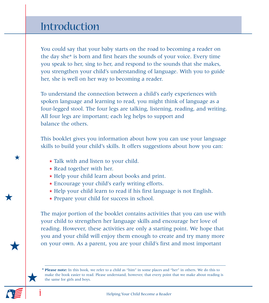## Introduction

You could say that your baby starts on the road to becoming a reader on the day she\* is born and first hears the sounds of your voice. Every time you speak to her, sing to her, and respond to the sounds that she makes, you strengthen your child's understanding of language. With you to guide her, she is well on her way to becoming a reader.

To understand the connection between a child's early experiences with spoken language and learning to read, you might think of language as a four-legged stool. The four legs are talking, listening, reading, and writing. All four legs are important; each leg helps to support and balance the others.

This booklet gives you information about how you can use your language skills to build your child's skills. It offers suggestions about how you can:

- ★ Talk with and listen to your child.
- ★ Read together with her.

★

- ★ Help your child learn about books and print.
- ★ Encourage your child's early writing efforts.
- ★ Help your child learn to read if his first language is not English.
- ★ Prepare your child for success in school.

The major portion of the booklet contains activities that you can use with your child to strengthen her language skills and encourage her love of reading. However, these activities are only a starting point. We hope that you and your child will enjoy them enough to create and try many more on your own. As a parent, you are your child's first and most important

**<sup>\*</sup> Please note:** In this book, we refer to a child as "him" in some places and "her" in others. We do this to make the book easier to read. Please understand, however, that every point that we make about reading is the same for girls and boys.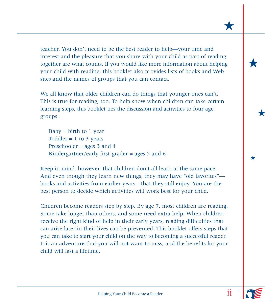teacher. You don't need to be the best reader to help—your time and interest and the pleasure that you share with your child as part of reading together are what counts. If you would like more information about helping your child with reading, this booklet also provides lists of books and Web sites and the names of groups that you can contact.

We all know that older children can do things that younger ones can't. This is true for reading, too. To help show when children can take certain learning steps, this booklet ties the discussion and activities to four age groups:

 $B$ aby = birth to 1 year Toddler  $= 1$  to 3 years Preschooler = ages 3 and 4 Kindergartner/early first-grader = ages 5 and 6

Keep in mind, however, that children don't all learn at the same pace. And even though they learn new things, they may have "old favorites" books and activities from earlier years—that they still enjoy. You are the best person to decide which activities will work best for your child.

Children become readers step by step. By age 7, most children are reading. Some take longer than others, and some need extra help. When children receive the right kind of help in their early years, reading difficulties that can arise later in their lives can be prevented. This booklet offers steps that you can take to start your child on the way to becoming a successful reader. It is an adventure that you will not want to miss, and the benefits for your child will last a lifetime.



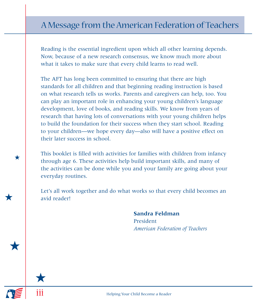#### A Message from the American Federation of Teachers

Reading is the essential ingredient upon which all other learning depends. Now, because of a new research consensus, we know much more about what it takes to make sure that every child learns to read well.

The AFT has long been committed to ensuring that there are high standards for all children and that beginning reading instruction is based on what research tells us works. Parents and caregivers can help, too. You can play an important role in enhancing your young children's language development, love of books, and reading skills. We know from years of research that having lots of conversations with your young children helps to build the foundation for their success when they start school. Reading to your children—we hope every day—also will have a positive effect on their later success in school.

This booklet is filled with activities for families with children from infancy through age 6. These activities help build important skills, and many of the activities can be done while you and your family are going about your everyday routines.

Let's all work together and do what works so that every child becomes an avid reader!

> **Sandra Feldman** President *American Federation of Teachers*

iii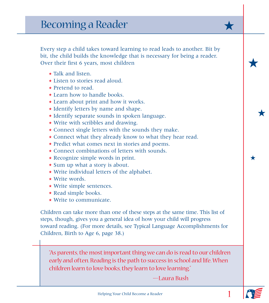## Becoming a Reader

Every step a child takes toward learning to read leads to another. Bit by bit, the child builds the knowledge that is necessary for being a reader. Over their first 6 years, most children

- ★ Talk and listen.
- ★ Listen to stories read aloud.
- ★ Pretend to read.
- ★ Learn how to handle books.
- ★ Learn about print and how it works.
- ★ Identify letters by name and shape.
- ★ Identify separate sounds in spoken language.
- ★ Write with scribbles and drawing.
- ★ Connect single letters with the sounds they make.
- ★ Connect what they already know to what they hear read.
- ★ Predict what comes next in stories and poems.
- ★ Connect combinations of letters with sounds.
- ★ Recognize simple words in print.
- ★ Sum up what a story is about.
- ★ Write individual letters of the alphabet.
- ★ Write words.
- ★ Write simple sentences.
- ★ Read simple books.
- ★ Write to communicate.

Children can take more than one of these steps at the same time. This list of steps, though, gives you a general idea of how your child will progress toward reading. (For more details, see Typical Language Accomplishments for Children, Birth to Age 6, page 38.)

"As parents, the most important thing we can do is read to our children early and often. Reading is the path to success in school and life. When children learn to love books, they learn to love learning."

—Laura Bush



1



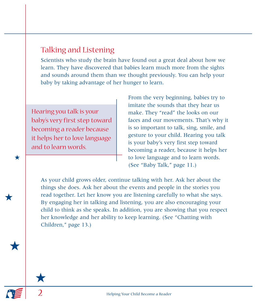#### Talking and Listening

Scientists who study the brain have found out a great deal about how we learn. They have discovered that babies learn much more from the sights and sounds around them than we thought previously. You can help your baby by taking advantage of her hunger to learn.

Hearing you talk is your baby's very first step toward becoming a reader because it helps her to love language and to learn words.

 $\bigstar$ 

From the very beginning, babies try to imitate the sounds that they hear us make. They "read" the looks on our faces and our movements. That's why it is so important to talk, sing, smile, and gesture to your child. Hearing you talk is your baby's very first step toward becoming a reader, because it helps her to love language and to learn words. (See "Baby Talk," page 11.)

As your child grows older, continue talking with her. Ask her about the things she does. Ask her about the events and people in the stories you read together. Let her know you are listening carefully to what she says. By engaging her in talking and listening, you are also encouraging your child to think as she speaks. In addition, you are showing that you respect her knowledge and her ability to keep learning. (See "Chatting with Children," page 13.)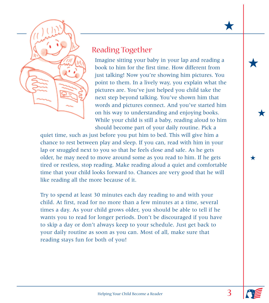

### Reading Together

Imagine sitting your baby in your lap and reading a book to him for the first time. How different from just talking! Now you're showing him pictures. You point to them. In a lively way, you explain what the pictures are. You've just helped you child take the next step beyond talking. You've shown him that words and pictures connect. And you've started him on his way to understanding and enjoying books. While your child is still a baby, reading aloud to him should become part of your daily routine. Pick a

quiet time, such as just before you put him to bed. This will give him a chance to rest between play and sleep. If you can, read with him in your lap or snuggled next to you so that he feels close and safe. As he gets older, he may need to move around some as you read to him. If he gets tired or restless, stop reading. Make reading aloud a quiet and comfortable time that your child looks forward to. Chances are very good that he will like reading all the more because of it.

Try to spend at least 30 minutes each day reading to and with your child. At first, read for no more than a few minutes at a time, several times a day. As your child grows older, you should be able to tell if he wants you to read for longer periods. Don't be discouraged if you have to skip a day or don't always keep to your schedule. Just get back to your daily routine as soon as you can. Most of all, make sure that reading stays fun for both of you!

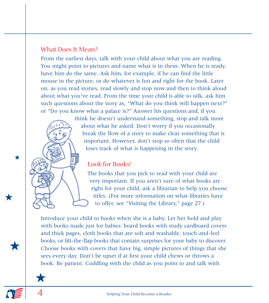#### What Does It Mean?

From the earliest days, talk with your child about what you are reading. You might point to pictures and name what is in them. When he is ready, have him do the same. Ask him, for example, if he can find the little mouse in the picture, or do whatever is fun and right for the book. Later on, as you read stories, read slowly and stop now and then to think aloud about what you've read. From the time your child is able to talk, ask him such questions about the story as, "What do you think will happen next?" or "Do you know what a palace is?" Answer his questions and, if you

think he doesn't understand something, stop and talk more about what he asked. Don't worry if you occasionally break the flow of a story to make clear something that is important. However, don't stop so often that the child loses track of what is happening in the story.

#### Look for Books!

The books that you pick to read with your child are very important. If you aren't sure of what books are right for your child, ask a librarian to help you choose titles. (For more information on what libraries have to offer, see "Visiting the Library," page 27.)

Introduce your child to books when she is a baby. Let her hold and play with books made just for babies: board books with study cardboard covers and thick pages, cloth books that are soft and washable, touch-and-feel books, or lift-the-flap books that contain surprises for your baby to discover. Choose books with covers that have big, simple pictures of things that she sees every day. Don't be upset if at first your child chews or throws a book. Be patient. Cuddling with the child as you point to and talk with

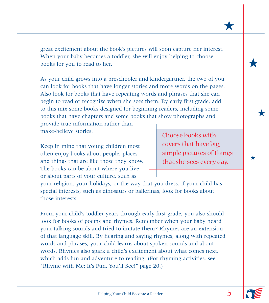great excitement about the book's pictures will soon capture her interest. When your baby becomes a toddler, she will enjoy helping to choose books for you to read to her.

As your child grows into a preschooler and kindergartner, the two of you can look for books that have longer stories and more words on the pages. Also look for books that have repeating words and phrases that she can begin to read or recognize when she sees them. By early first grade, add to this mix some books designed for beginning readers, including some books that have chapters and some books that show photographs and provide true information rather than

make-believe stories.

Keep in mind that young children most often enjoy books about people, places, and things that are like those they know. The books can be about where you live or about parts of your culture, such as

Choose books with covers that have big, simple pictures of things that she sees every day.

your religion, your holidays, or the way that you dress. If your child has special interests, such as dinosaurs or ballerinas, look for books about those interests.

From your child's toddler years through early first grade, you also should look for books of poems and rhymes. Remember when your baby heard your talking sounds and tried to imitate them? Rhymes are an extension of that language skill. By hearing and saying rhymes, along with repeated words and phrases, your child learns about spoken sounds and about words. Rhymes also spark a child's excitement about what comes next, which adds fun and adventure to reading. (For rhyming activities, see "Rhyme with Me: It's Fun, You'll See!" page 20.)

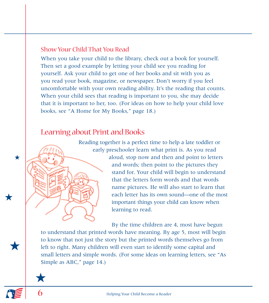#### Show Your Child That You Read

When you take your child to the library, check out a book for yourself. Then set a good example by letting your child see you reading for yourself. Ask your child to get one of her books and sit with you as you read your book, magazine, or newspaper. Don't worry if you feel uncomfortable with your own reading ability. It's the reading that counts. When your child sees that reading is important to you, she may decide that it is important to her, too. (For ideas on how to help your child love books, see "A Home for My Books," page 18.)

#### Learning about Print and Books

Reading together is a perfect time to help a late toddler or early preschooler learn what print is. As you read aloud, stop now and then and point to letters and words; then point to the pictures they stand for. Your child will begin to understand that the letters form words and that words name pictures. He will also start to learn that each letter has its own sound—one of the most important things your child can know when learning to read.

By the time children are 4, most have begun to understand that printed words have meaning. By age 5, most will begin to know that not just the story but the printed words themselves go from left to right. Many children will even start to identify some capital and small letters and simple words. (For some ideas on learning letters, see "As Simple as ABC," page 14.)



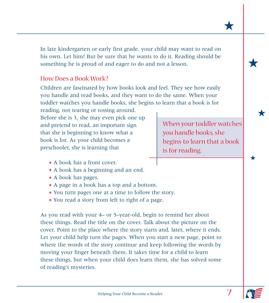In late kindergarten or early first grade, your child may want to read on his own. Let him! But be sure that he wants to do it. Reading should be something he is proud of and eager to do and not a lesson.

#### How Does a Book Work?

Children are fascinated by how books look and feel. They see how easily you handle and read books, and they want to do the same. When your toddler watches you handle books, she begins to learn that a book is for

reading, not tearing or tossing around. Before she is 3, she may even pick one up and pretend to read, an important sign that she is beginning to know what a book is for. As your child becomes a preschooler, she is learning that

When your toddler watches you handle books, she begins to learn that a book is for reading.

- ★ A book has a front cover.
- ★ A book has a beginning and an end.
- ★ A book has pages.
- ★ A page in a book has a top and a bottom.
- ★ You turn pages one at a time to follow the story.
- ★ You read a story from left to right of a page.

As you read with your 4– or 5–year-old, begin to remind her about these things. Read the title on the cover. Talk about the picture on the cover. Point to the place where the story starts and, later, where it ends. Let your child help turn the pages. When you start a new page, point to where the words of the story continue and keep following the words by moving your finger beneath them. It takes time for a child to learn these things, but when your child does learn them, she has solved some of reading's mysteries.

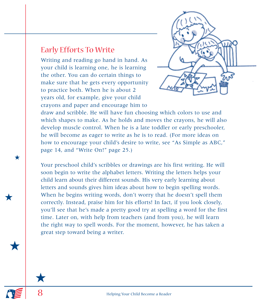#### Early Efforts To Write

Writing and reading go hand in hand. As your child is learning one, he is learning the other. You can do certain things to make sure that he gets every opportunity to practice both. When he is about 2 years old, for example, give your child crayons and paper and encourage him to



draw and scribble. He will have fun choosing which colors to use and which shapes to make. As he holds and moves the crayons, he will also develop muscle control. When he is a late toddler or early preschooler, he will become as eager to write as he is to read. (For more ideas on how to encourage your child's desire to write, see "As Simple as ABC," page 14, and "Write On!" page 25.)

Your preschool child's scribbles or drawings are his first writing. He will soon begin to write the alphabet letters. Writing the letters helps your child learn about their different sounds. His very early learning about letters and sounds gives him ideas about how to begin spelling words. When he begins writing words, don't worry that he doesn't spell them correctly. Instead, praise him for his efforts! In fact, if you look closely, you'll see that he's made a pretty good try at spelling a word for the first time. Later on, with help from teachers (and from you), he will learn the right way to spell words. For the moment, however, he has taken a great step toward being a writer.

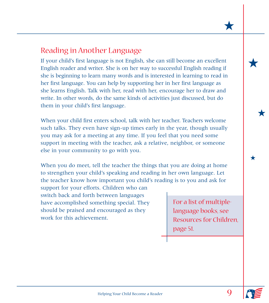#### Reading in Another Language

If your child's first language is not English, she can still become an excellent English reader and writer. She is on her way to successful English reading if she is beginning to learn many words and is interested in learning to read in her first language. You can help by supporting her in her first language as she learns English. Talk with her, read with her, encourage her to draw and write. In other words, do the same kinds of activities just discussed, but do them in your child's first language.

When your child first enters school, talk with her teacher. Teachers welcome such talks. They even have sign-up times early in the year, though usually you may ask for a meeting at any time. If you feel that you need some support in meeting with the teacher, ask a relative, neighbor, or someone else in your community to go with you.

When you do meet, tell the teacher the things that you are doing at home to strengthen your child's speaking and reading in her own language. Let the teacher know how important you child's reading is to you and ask for

support for your efforts. Children who can switch back and forth between languages have accomplished something special. They should be praised and encouraged as they work for this achievement.

For a list of multiplelanguage books, see Resources for Children, page 51.



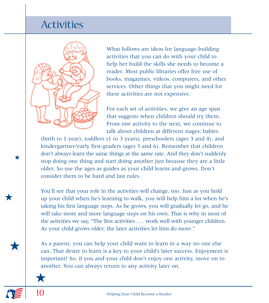## Activities



What follows are ideas for language-building activities that you can do with your child to help her build the skills she needs to become a reader. Most public libraries offer free use of books, magazines, videos, computers, and other services. Other things that you might need for these activities are not expensive.

For each set of activities, we give an age span that suggests when children should try them. From one activity to the next, we continue to talk about children at different stages: babies

(birth to 1 year), toddlers (1 to 3 years), preschoolers (ages 3 and 4), and kindergartner/early first-graders (ages 5 and 6). Remember that children don't always learn the same things at the same rate. And they don't suddenly stop doing one thing and start doing another just because they are a little older. So use the ages as guides as your child learns and grows. Don't consider them to be hard and fast rules.

You'll see that your role in the activities will change, too. Just as you hold up your child when he's learning to walk, you will help him a lot when he's taking his first language steps. As he grows, you will gradually let go, and he will take more and more language steps on his own. That is why in most of the activities we say, "The first activities . . . work well with younger children. As your child grows older, the later activities let him do more."

As a parent, you can help your child want to learn in a way no one else can. That desire to learn is a key to your child's later success. Enjoyment is important! So, if you and your child don't enjoy one activity, move on to another. You can always return to any activity later on.



 $\bigstar$ 

**ACC**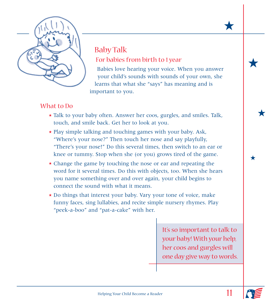



## Baby Talk

#### For babies from birth to 1 year

Babies love hearing your voice. When you answer your child's sounds with sounds of your own, she learns that what she "says" has meaning and is important to you.

#### What to Do

- ★ Talk to your baby often. Answer her coos, gurgles, and smiles. Talk, touch, and smile back. Get her to look at you.
- ★ Play simple talking and touching games with your baby. Ask, "Where's your nose?" Then touch her nose and say playfully, "There's your nose!" Do this several times, then switch to an ear or knee or tummy. Stop when she (or you) grows tired of the game.
- ★ Change the game by touching the nose or ear and repeating the word for it several times. Do this with objects, too. When she hears you name something over and over again, your child begins to connect the sound with what it means.
- ★ Do things that interest your baby. Vary your tone of voice, make funny faces, sing lullabies, and recite simple nursery rhymes. Play "peek-a-boo" and "pat-a-cake" with her.

It's so important to talk to your baby! With your help, her coos and gurgles will one day give way to words.



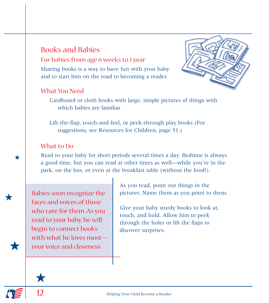#### Books and Babies

For babies from age 6 weeks to 1 year

Sharing books is a way to have fun with your baby and to start him on the road to becoming a reader.

#### What You Need



Cardboard or cloth books with large, simple pictures of things with which babies are familiar

Lift-the-flap, touch-and-feel, or peek-through play books (For suggestions, see Resources for Children, page 51.)

#### What to Do

Read to your baby for short periods several times a day. Bedtime is always a good time, but you can read at other times as well—while you're in the park, on the bus, or even at the breakfast table (without the food!).

Babies soon recognize the faces and voices of those who care for them. As you read to your baby, he will begin to connect books with what he loves most your voice and closeness.

As you read, point out things in the pictures. Name them as you point to them.

Give your baby sturdy books to look at, touch, and hold. Allow him to peek through the holes or lift the flaps to discover surprises.



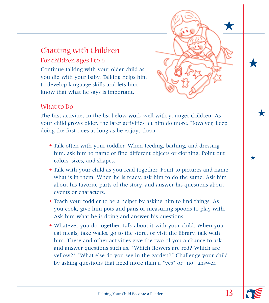#### Chatting with Children For children ages 1 to 6

Continue talking with your older child as you did with your baby. Talking helps him to develop language skills and lets him know that what he says is important.



#### What to Do

The first activities in the list below work well with younger children. As your child grows older, the later activities let him do more. However, keep doing the first ones as long as he enjoys them.

- ★ Talk often with your toddler. When feeding, bathing, and dressing him, ask him to name or find different objects or clothing. Point out colors, sizes, and shapes.
- ★ Talk with your child as you read together. Point to pictures and name what is in them. When he is ready, ask him to do the same. Ask him about his favorite parts of the story, and answer his questions about events or characters.
- ★ Teach your toddler to be a helper by asking him to find things. As you cook, give him pots and pans or measuring spoons to play with. Ask him what he is doing and answer his questions.
- ★ Whatever you do together, talk about it with your child. When you eat meals, take walks, go to the store, or visit the library, talk with him. These and other activities give the two of you a chance to ask and answer questions such as, "Which flowers are red? Which are yellow?" "What else do you see in the garden?" Challenge your child by asking questions that need more than a "yes" or "no" answer.

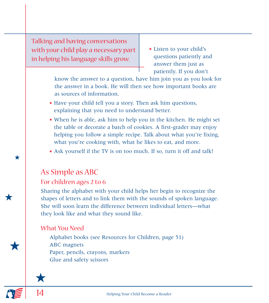Talking and having conversations with your child play a necessary part in helping his language skills grow.

★ Listen to your child's questions patiently and answer them just as patiently. If you don't

know the answer to a question, have him join you as you look for the answer in a book. He will then see how important books are as sources of information.

- ★ Have your child tell you a story. Then ask him questions, explaining that you need to understand better.
- ★ When he is able, ask him to help you in the kitchen. He might set the table or decorate a batch of cookies. A first-grader may enjoy helping you follow a simple recipe. Talk about what you're fixing, what you're cooking with, what he likes to eat, and more.
- ★ Ask yourself if the TV is on too much. If so, turn it off and talk!

#### As Simple as ABC

#### For children ages 2 to 6

Sharing the alphabet with your child helps her begin to recognize the shapes of letters and to link them with the sounds of spoken language. She will soon learn the difference between individual letters—what they look like and what they sound like.

#### What You Need

Alphabet books (see Resources for Children, page 51) ABC magnets Paper, pencils, crayons, markers Glue and safety scissors

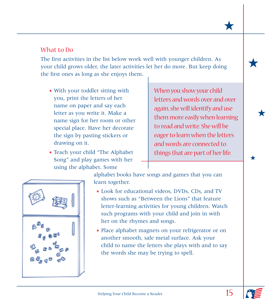#### What to Do

The first activities in the list below work well with younger children. As your child grows older, the later activities let her do more. But keep doing the first ones as long as she enjoys them.

- ★ With your toddler sitting with you, print the letters of her name on paper and say each letter as you write it. Make a name sign for her room or other special place. Have her decorate the sign by pasting stickers or drawing on it.
- ★ Teach your child "The Alphabet Song" and play games with her using the alphabet. Some

When you show your child letters and words over and over again, she will identify and use them more easily when learning to read and write. She will be eager to learn when the letters and words are connected to things that are part of her life.



alphabet books have songs and games that you can learn together.

- ★ Look for educational videos, DVDs, CDs, and TV shows such as "Between the Lions" that feature letter-learning activities for young children. Watch such programs with your child and join in with her on the rhymes and songs.
- ★ Place alphabet magnets on your refrigerator or on another smooth, safe metal surface. Ask your child to name the letters she plays with and to say the words she may be trying to spell.

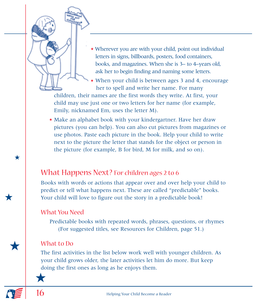- ★ Wherever you are with your child, point out individual letters in signs, billboards, posters, food containers, books, and magazines. When she is 3– to 4–years old, ask her to begin finding and naming some letters.
- ★ When your child is between ages 3 and 4, encourage her to spell and write her name. For many

children, their names are the first words they write. At first, your child may use just one or two letters for her name (for example, Emily, nicknamed Em, uses the letter M).

★ Make an alphabet book with your kindergartner. Have her draw pictures (you can help). You can also cut pictures from magazines or use photos. Paste each picture in the book. Help your child to write next to the picture the letter that stands for the object or person in the picture (for example, B for bird, M for milk, and so on).

#### What Happens Next? For children ages 2 to 6

Books with words or actions that appear over and over help your child to predict or tell what happens next. These are called "predictable" books. Your child will love to figure out the story in a predictable book!

#### What You Need

Predictable books with repeated words, phrases, questions, or rhymes (For suggested titles, see Resources for Children, page 51.)

#### What to Do

The first activities in the list below work well with younger children. As your child grows older, the later activities let him do more. But keep doing the first ones as long as he enjoys them.

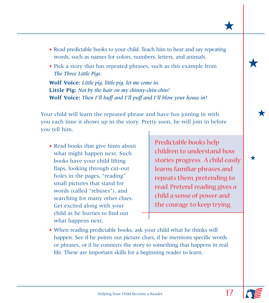- ★ Read predictable books to your child. Teach him to hear and say repeating words, such as names for colors, numbers, letters, and animals.
- ★ Pick a story that has repeated phrases, such as this example from *The Three Little Pigs:*

**Wolf Voice:** *Little pig, little pig, let me come in.* **Little Pig:** *Not by the hair on my chinny-chin-chin!* **Wolf Voice:** *Then I'll huff and I'll puff and I'll blow your house in!*

Your child will learn the repeated phrase and have fun joining in with you each time it shows up in the story. Pretty soon, he will join in before you tell him.

★ Read books that give hints about what might happen next. Such books have your child lifting flaps, looking through cut-out holes in the pages, "reading" small pictures that stand for words (called "rebuses"), and searching for many other clues. Get excited along with your child as he hurries to find out what happens next.

Predictable books help children to understand how stories progress. A child easily learns familiar phrases and repeats them, pretending to read. Pretend reading gives a child a sense of power and the courage to keep trying.

★ When reading predictable books, ask your child what he thinks will happen. See if he points out picture clues, if he mentions specific words or phrases, or if he connects the story to something that happens in real life. These are important skills for a beginning reader to learn.



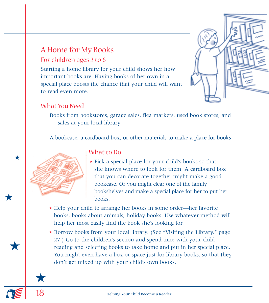## A Home for My Books

#### For children ages 2 to 6

Starting a home library for your child shows her how important books are. Having books of her own in a special place boosts the chance that your child will want to read even more.



#### What You Need

Books from bookstores, garage sales, flea markets, used book stores, and sales at your local library

A bookcase, a cardboard box, or other materials to make a place for books



#### What to Do

- ★ Pick a special place for your child's books so that she knows where to look for them. A cardboard box that you can decorate together might make a good bookcase. Or you might clear one of the family bookshelves and make a special place for her to put her books.
- ★ Help your child to arrange her books in some order—her favorite books, books about animals, holiday books. Use whatever method will help her most easily find the book she's looking for.
- ★ Borrow books from your local library. (See "Visiting the Library," page 27.) Go to the children's section and spend time with your child reading and selecting books to take home and put in her special place. You might even have a box or space just for library books, so that they don't get mixed up with your child's own books.

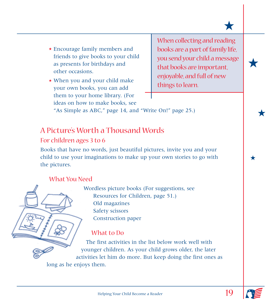- ★ Encourage family members and friends to give books to your child as presents for birthdays and other occasions.
- ★ When you and your child make your own books, you can add them to your home library. (For ideas on how to make books, see

When collecting and reading books are a part of family life, you send your child a message that books are important, enjoyable, and full of new things to learn.

"As Simple as ABC," page 14, and "Write On!" page 25.)

#### A Picture's Worth a Thousand Words For children ages 3 to 6

Books that have no words, just beautiful pictures, invite you and your child to use your imaginations to make up your own stories to go with the pictures.

#### What You Need

Wordless picture books (For suggestions, see Resources for Children, page 51.) Old magazines Safety scissors Construction paper

#### What to Do

The first activities in the list below work well with younger children. As your child grows older, the later activities let him do more. But keep doing the first ones as

long as he enjoys them.

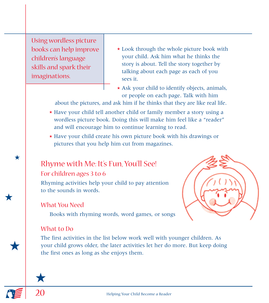Using wordless picture books can help improve children's language skills and spark their imaginations.

- ★ Look through the whole picture book with your child. Ask him what he thinks the story is about. Tell the story together by talking about each page as each of you sees it.
- ★ Ask your child to identify objects, animals, or people on each page. Talk with him

about the pictures, and ask him if he thinks that they are like real life.

- ★ Have your child tell another child or family member a story using a wordless picture book. Doing this will make him feel like a "reader" and will encourage him to continue learning to read.
- ★ Have your child create his own picture book with his drawings or pictures that you help him cut from magazines.

## Rhyme with Me: It's Fun, You'll See!

For children ages 3 to 6

Rhyming activities help your child to pay attention to the sounds in words.

#### What You Need

Books with rhyming words, word games, or songs

#### What to Do

The first activities in the list below work well with younger children. As your child grows older, the later activities let her do more. But keep doing the first ones as long as she enjoys them.





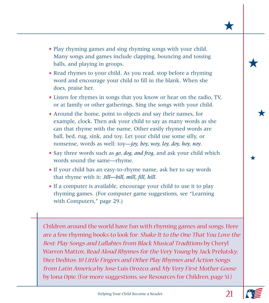- ★ Play rhyming games and sing rhyming songs with your child. Many songs and games include clapping, bouncing and tossing balls, and playing in groups.
- ★ Read rhymes to your child. As you read, stop before a rhyming word and encourage your child to fill in the blank. When she does, praise her.
- ★ Listen for rhymes in songs that you know or hear on the radio, TV, or at family or other gatherings. Sing the songs with your child.
- ★ Around the home, point to objects and say their names, for example, clock. Then ask your child to say as many words as she can that rhyme with the name. Other easily rhymed words are ball, bed, rug, sink, and toy. Let your child use some silly, or nonsense, words as well: toy—*joy, boy, woy, loy, doy, hoy, noy*.
- ★ Say three words such as *go, dog, and frog,* and ask your child which words sound the same—rhyme.
- ★ If your child has an easy-to-rhyme name, ask her to say words that rhyme with it: *Jill—bill, mill, fill, hill.*
- $\star$  If a computer is available, encourage your child to use it to play rhyming games. (For computer game suggestions, see "Learning with Computers," page 29.)

Children around the world have fun with rhyming games and songs. Here are a few rhyming books to look for: Shake It to the One That You Love the Best: Play Songs and Lullabies from Black Musical Traditions by Cheryl Warren Mattox; Read Aloud Rhymes for the Very Young by Jack Prelutsky; Diez Deditos: 10 Little Fingers and Other Play Rhymes and Action Songs from Latin America by Jose-Luis Orozco; and My Very First Mother Goose by Iona Opie. (For more suggestions, see Resources for Children, page 51.)

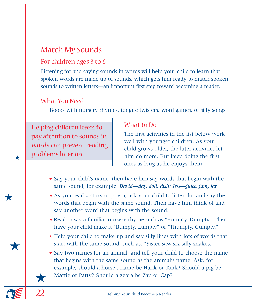#### Match My Sounds

#### For children ages 3 to 6

Listening for and saying sounds in words will help your child to learn that spoken words are made up of sounds, which gets him ready to match spoken sounds to written letters—an important first step toward becoming a reader.

#### What You Need

Books with nursery rhymes, tongue twisters, word games, or silly songs

Helping children learn to pay attention to sounds in words can prevent reading problems later on.

#### What to Do

The first activities in the list below work well with younger children. As your child grows older, the later activities let him do more. But keep doing the first ones as long as he enjoys them.

- $\star$  Say your child's name, then have him say words that begin with the same sound; for example: *David—day, doll, dish; Jess—juice, jam, jar.*
- ★ As you read a story or poem, ask your child to listen for and say the words that begin with the same sound. Then have him think of and say another word that begins with the sound.
- ★ Read or say a familiar nursery rhyme such as "Humpty, Dumpty." Then have your child make it "Bumpty, Lumpty" or "Thumpty, Gumpty."
- ★ Help your child to make up and say silly lines with lots of words that start with the same sound, such as, "Sister saw six silly snakes."
- ★ Say two names for an animal, and tell your child to choose the name that begins with the same sound as the animal's name. Ask, for example, should a horse's name be Hank or Tank? Should a pig be Mattie or Patty? Should a zebra be Zap or Cap?



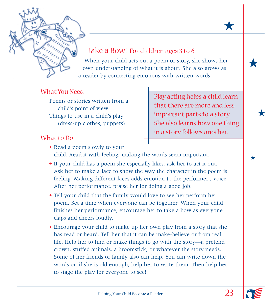

#### Take a Bow! For children ages 3 to 6

When your child acts out a poem or story, she shows her own understanding of what it is about. She also grows as a reader by connecting emotions with written words.

#### What You Need

Poems or stories written from a child's point of view Things to use in a child's play (dress-up clothes, puppets)

Play acting helps a child learn that there are more and less important parts to a story. She also learns how one thing in a story follows another.

#### What to Do

- ★ Read a poem slowly to your child. Read it with feeling, making the words seem important.
- ★ If your child has a poem she especially likes, ask her to act it out. Ask her to make a face to show the way the character in the poem is feeling. Making different faces adds emotion to the performer's voice. After her performance, praise her for doing a good job.
- ★ Tell your child that the family would love to see her perform her poem. Set a time when everyone can be together. When your child finishes her performance, encourage her to take a bow as everyone claps and cheers loudly.
- $\star$  Encourage your child to make up her own play from a story that she has read or heard. Tell her that it can be make-believe or from real life. Help her to find or make things to go with the story—a pretend crown, stuffed animals, a broomstick, or whatever the story needs. Some of her friends or family also can help. You can write down the words or, if she is old enough, help her to write them. Then help her to stage the play for everyone to see!

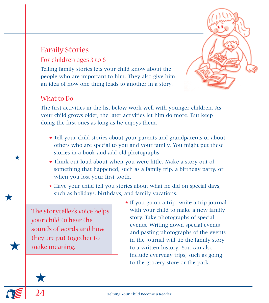#### Family Stories

#### For children ages 3 to 6

Telling family stories lets your child know about the people who are important to him. They also give him an idea of how one thing leads to another in a story.



The first activities in the list below work well with younger children. As your child grows older, the later activities let him do more. But keep doing the first ones as long as he enjoys them.

- ★ Tell your child stories about your parents and grandparents or about others who are special to you and your family. You might put these stories in a book and add old photographs.
- ★ Think out loud about when you were little. Make a story out of something that happened, such as a family trip, a birthday party, or when you lost your first tooth.
- ★ Have your child tell you stories about what he did on special days, such as holidays, birthdays, and family vacations.

The storyteller's voice helps your child to hear the sounds of words and how they are put together to make meaning.

★ If you go on a trip, write a trip journal with your child to make a new family story. Take photographs of special events. Writing down special events and pasting photographs of the events in the journal will tie the family story to a written history. You can also include everyday trips, such as going to the grocery store or the park.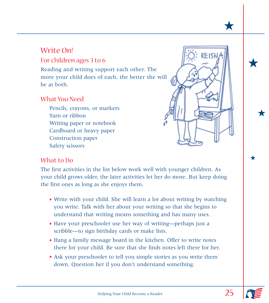#### Write On!

#### For children ages 3 to 6

Reading and writing support each other. The more your child does of each, the better she will be at both.

#### What You Need

Pencils, crayons, or markers Yarn or ribbon Writing paper or notebook Cardboard or heavy paper Construction paper Safety scissors



#### What to Do

The first activities in the list below work well with younger children. As your child grows older, the later activities let her do more. But keep doing the first ones as long as she enjoys them.

- ★ Write with your child. She will learn a lot about writing by watching you write. Talk with her about your writing so that she begins to understand that writing means something and has many uses.
- ★ Have your preschooler use her way of writing—perhaps just a scribble—to sign birthday cards or make lists.
- ★ Hang a family message board in the kitchen. Offer to write notes there for your child. Be sure that she finds notes left there for her.
- ★ Ask your preschooler to tell you simple stories as you write them down. Question her if you don't understand something.



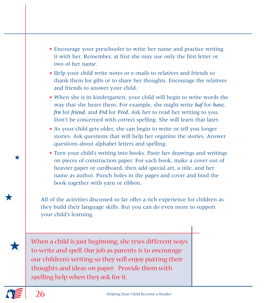- ★ Encourage your preschooler to write her name and practice writing it with her. Remember, at first she may use only the first letter or two of her name.
- ★ Help your child write notes or e-mails to relatives and friends to thank them for gifts or to share her thoughts. Encourage the relatives and friends to answer your child.
- ★ When she is in kindergarten, your child will begin to write words the way that she hears them. For example, she might write *haf* for *have*, *frn* for *friend*, and *Frd* for *Fred*. Ask her to read her writing to you. Don't be concerned with correct spelling. She will learn that later.
- ★ As your child gets older, she can begin to write or tell you longer stories. Ask questions that will help her organize the stories. Answer questions about alphabet letters and spelling.
- ★ Turn your child's writing into books. Paste her drawings and writings on pieces of construction paper. For each book, make a cover out of heavier paper or cardboard, then add special art, a title, and her name as author. Punch holes in the pages and cover and bind the book together with yarn or ribbon.

All of the activities discussed so far offer a rich experience for children as they build their language skills. But you can do even more to support your child's learning.

When a child is just beginning, she tries different ways to write and spell. Our job as parents is to encourage our children's writing so they will enjoy putting their thoughts and ideas on paper. Provide them with spelling help when they ask for it.



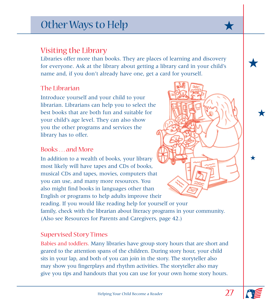## Other Ways to Help

#### Visiting the Library

Libraries offer more than books. They are places of learning and discovery for everyone. Ask at the library about getting a library card in your child's name and, if you don't already have one, get a card for yourself.

#### The Librarian

Introduce yourself and your child to your librarian. Librarians can help you to select the best books that are both fun and suitable for your child's age level. They can also show you the other programs and services the library has to offer.

#### Books . . . and More

In addition to a wealth of books, your library most likely will have tapes and CDs of books, musical CDs and tapes, movies, computers that you can use, and many more resources. You also might find books in languages other than English or programs to help adults improve their reading. If you would like reading help for yourself or your family, check with the librarian about literacy programs in your community. (Also see Resources for Parents and Caregivers, page 42.)

#### Supervised Story Times

Babies and toddlers. Many libraries have group story hours that are short and geared to the attention spans of the children. During story hour, your child sits in your lap, and both of you can join in the story. The storyteller also may show you fingerplays and rhythm activities. The storyteller also may give you tips and handouts that you can use for your own home story hours.

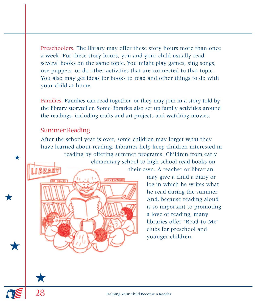Preschoolers. The library may offer these story hours more than once a week. For these story hours, you and your child usually read several books on the same topic. You might play games, sing songs, use puppets, or do other activities that are connected to that topic. You also may get ideas for books to read and other things to do with your child at home.

Families. Families can read together, or they may join in a story told by the library storyteller. Some libraries also set up family activities around the readings, including crafts and art projects and watching movies.

#### Summer Reading

 $\bigstar$ 

After the school year is over, some children may forget what they have learned about reading. Libraries help keep children interested in reading by offering summer programs. Children from early elementary school to high school read books on LIBRAR their own. A teacher or librarian

**ABVENTURE** 

may give a child a diary or log in which he writes what he read during the summer. And, because reading aloud is so important to promoting a love of reading, many libraries offer "Read-to-Me" clubs for preschool and younger children.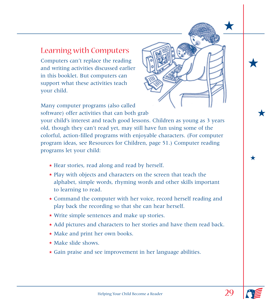## Learning with Computers

Computers can't replace the reading and writing activities discussed earlier in this booklet. But computers can support what these activities teach your child.

Many computer programs (also called software) offer activities that can both grab

your child's interest and teach good lessons. Children as young as 3 years old, though they can't read yet, may still have fun using some of the colorful, action-filled programs with enjoyable characters. (For computer program ideas, see Resources for Children, page 51.) Computer reading programs let your child:

- ★ Hear stories, read along and read by herself.
- ★ Play with objects and characters on the screen that teach the alphabet, simple words, rhyming words and other skills important to learning to read.
- ★ Command the computer with her voice, record herself reading and play back the recording so that she can hear herself.
- ★ Write simple sentences and make up stories.
- ★ Add pictures and characters to her stories and have them read back.
- ★ Make and print her own books.
- ★ Make slide shows.
- ★ Gain praise and see improvement in her language abilities.



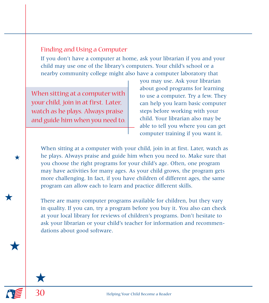## Finding and Using a Computer

If you don't have a computer at home, ask your librarian if you and your child may use one of the library's computers. Your child's school or a nearby community college might also have a computer laboratory that

When sitting at a computer with your child, join in at first. Later, watch as he plays. Always praise and guide him when you need to. you may use. Ask your librarian about good programs for learning to use a computer. Try a few. They can help you learn basic computer steps before working with your child. Your librarian also may be able to tell you where you can get computer training if you want it.

When sitting at a computer with your child, join in at first. Later, watch as he plays. Always praise and guide him when you need to. Make sure that you choose the right programs for your child's age. Often, one program may have activities for many ages. As your child grows, the program gets more challenging. In fact, if you have children of different ages, the same program can allow each to learn and practice different skills.

There are many computer programs available for children, but they vary in quality. If you can, try a program before you buy it. You also can check at your local library for reviews of children's programs. Don't hesitate to ask your librarian or your child's teacher for information and recommendations about good software.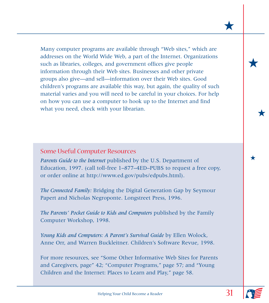Many computer programs are available through "Web sites," which are addresses on the World Wide Web, a part of the Internet. Organizations such as libraries, colleges, and government offices give people information through their Web sites. Businesses and other private groups also give—and sell—information over their Web sites. Good children's programs are available this way, but again, the quality of such material varies and you will need to be careful in your choices. For help on how you can use a computer to hook up to the Internet and find what you need, check with your librarian.

## Some Useful Computer Resources

*Parents Guide to the Internet* published by the U.S. Department of Education, 1997. (call toll-free 1–877–4ED–PUBS to request a free copy, or order online at http://www.ed.gov/pubs/edpubs.html).

*The Connected Family:* Bridging the Digital Generation Gap by Seymour Papert and Nicholas Negroponte. Longstreet Press, 1996.

*The Parents' Pocket Guide to Kids and Computers* published by the Family Computer Workshop, 1998.

*Young Kids and Computers: A Parent's Survival Guide* by Ellen Wolock, Anne Orr, and Warren Buckleitner. Children's Software Revue, 1998.

For more resources, see "Some Other Informative Web Sites for Parents and Caregivers, page" 42; "Computer Programs," page 57; and "Young Children and the Internet: Places to Learn and Play," page 58.

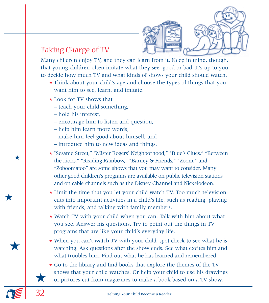

## Taking Charge of TV

Many children enjoy TV, and they can learn from it. Keep in mind, though, that young children often imitate what they see, good or bad. It's up to you to decide how much TV and what kinds of shows your child should watch.

- ★ Think about your child's age and choose the types of things that you want him to see, learn, and imitate.
- ★ Look for TV shows that
	- teach your child something,
	- hold his interest,
	- encourage him to listen and question,
	- help him learn more words,
	- make him feel good about himself, and
	- introduce him to new ideas and things.
- ★ "Sesame Street," "Mister Rogers' Neighborhood," "Blue's Clues," "Between the Lions," "Reading Rainbow," "Barney & Friends," "Zoom," and "Zoboomafoo" are some shows that you may want to consider. Many other good children's programs are available on public television stations and on cable channels such as the Disney Channel and Nickelodeon.
- ★ Limit the time that you let your child watch TV. Too much television cuts into important activities in a child's life, such as reading, playing with friends, and talking with family members.
- ★ Watch TV with your child when you can. Talk with him about what you see. Answer his questions. Try to point out the things in TV programs that are like your child's everyday life.
- ★ When you can't watch TV with your child, spot check to see what he is watching. Ask questions after the show ends. See what excites him and what troubles him. Find out what he has learned and remembered.

★ Go to the library and find books that explore the themes of the TV shows that your child watches. Or help your child to use his drawings or pictures cut from magazines to make a book based on a TV show.



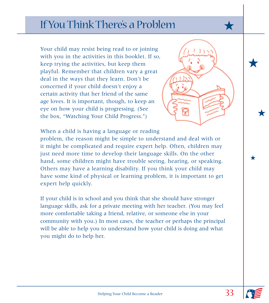## If You Think There's a Problem

Your child may resist being read to or joining with you in the activities in this booklet. If so, keep trying the activities, but keep them playful. Remember that children vary a great deal in the ways that they learn. Don't be concerned if your child doesn't enjoy a certain activity that her friend of the same age loves. It is important, though, to keep an eye on how your child is progressing. (See the box, "Watching Your Child Progress.")



When a child is having a language or reading

problem, the reason might be simple to understand and deal with or it might be complicated and require expert help. Often, children may just need more time to develop their language skills. On the other hand, some children might have trouble seeing, hearing, or speaking. Others may have a learning disability. If you think your child may have some kind of physical or learning problem, it is important to get expert help quickly.

If your child is in school and you think that she should have stronger language skills, ask for a private meeting with her teacher. (You may feel more comfortable taking a friend, relative, or someone else in your community with you.) In most cases, the teacher or perhaps the principal will be able to help you to understand how your child is doing and what you might do to help her.

33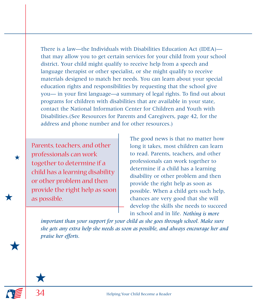There is a law—the Individuals with Disabilities Education Act (IDEA) that may allow you to get certain services for your child from your school district. Your child might qualify to receive help from a speech and language therapist or other specialist, or she might qualify to receive materials designed to match her needs. You can learn about your special education rights and responsibilities by requesting that the school give you— in your first language—a summary of legal rights. To find out about programs for children with disabilities that are available in your state, contact the National Information Center for Children and Youth with Disabilities.(See Resources for Parents and Caregivers, page 42, for the address and phone number and for other resources.)

Parents, teachers, and other professionals can work together to determine if a child has a learning disability or other problem and then provide the right help as soon as possible.

The good news is that no matter how long it takes, most children can learn to read. Parents, teachers, and other professionals can work together to determine if a child has a learning disability or other problem and then provide the right help as soon as possible. When a child gets such help, chances are very good that she will develop the skills she needs to succeed in school and in life. *Nothing is more*

*important than your support for your child as she goes through school. Make sure she gets any extra help she needs as soon as possible, and always encourage her and praise her efforts.*

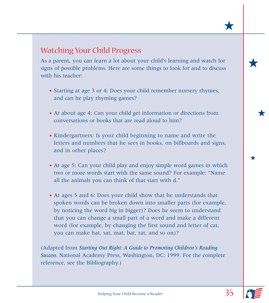## Watching Your Child Progress

As a parent, you can learn a lot about your child's learning and watch for signs of possible problems. Here are some things to look for and to discuss with his teacher:

- ★ Starting at age 3 or 4: Does your child remember nursery rhymes, and can he play rhyming games?
- ★ At about age 4: Can your child get information or directions from conversations or books that are read aloud to him?
- ★ Kindergartners: Is your child beginning to name and write the letters and numbers that he sees in books, on billboards and signs, and in other places?
- ★ At age 5: Can your child play and enjoy simple word games in which two or more words start with the same sound? For example: "Name all the animals you can think of that start with d."
- ★ At ages 5 and 6: Does your child show that he understands that spoken words can be broken down into smaller parts (for example, by noticing the word big in bigger)? Does he seem to understand that you can change a small part of a word and make a different word (for example, by changing the first sound and letter of cat, you can make hat, sat, mat, bat, rat, and so on)?

(Adapted from *Starting Out Right: A Guide to Promoting Children's Reading Success.* National Academy Press, Washington, DC: 1999. For the complete reference, see the Bibliography.)

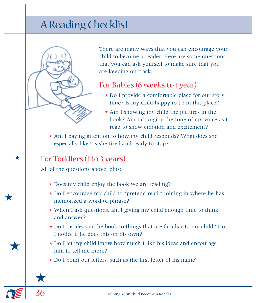## A Reading Checklist



There are many ways that you can encourage your child to become a reader. Here are some questions that you can ask yourself to make sure that you are keeping on track:

## For Babies (6 weeks to 1 year)

- ★ Do I provide a comfortable place for our story time? Is my child happy to be in this place?
- ★ Am I showing my child the pictures in the book? Am I changing the tone of my voice as I read to show emotion and excitement?
- ★ Am I paying attention to how my child responds? What does she especially like? Is she tired and ready to stop?

## For Toddlers (1 to 3 years)

All of the questions above, plus:

- ★ Does my child enjoy the book we are reading?
- ★ Do I encourage my child to "pretend read," joining in where he has memorized a word or phrase?
- ★ When I ask questions, am I giving my child enough time to think and answer?
- ★ Do I tie ideas in the book to things that are familiar to my child? Do I notice if he does this on his own?
- ★ Do I let my child know how much I like his ideas and encourage him to tell me more?
- ★ Do I point out letters, such as the first letter of his name?



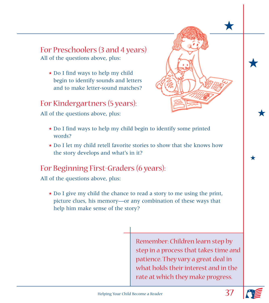## For Preschoolers (3 and 4 years)

All of the questions above, plus:

★ Do I find ways to help my child begin to identify sounds and letters and to make letter-sound matches?

## For Kindergartners (5 years):

All of the questions above, plus:

- ★ Do I find ways to help my child begin to identify some printed words?
- ★ Do I let my child retell favorite stories to show that she knows how the story develops and what's in it?

## For Beginning First-Graders (6 years):

All of the questions above, plus:

★ Do I give my child the chance to read a story to me using the print, picture clues, his memory—or any combination of these ways that help him make sense of the story?

> Remember: Children learn step by step in a process that takes time and patience. They vary a great deal in what holds their interest and in the rate at which they make progress.



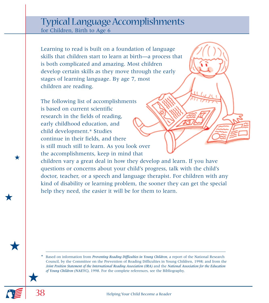## Typical Language Accomplishments for Children, Birth to Age 6

Learning to read is built on a foundation of language skills that children start to learn at birth—a process that is both complicated and amazing. Most children develop certain skills as they move through the early stages of learning language. By age 7, most children are reading.

The following list of accomplishments is based on current scientific research in the fields of reading, early childhood education, and child development.\* Studies continue in their fields, and there is still much still to learn. As you look over the accomplishments, keep in mind that

children vary a great deal in how they develop and learn. If you have questions or concerns about your child's progress, talk with the child's doctor, teacher, or a speech and language therapist. For children with any kind of disability or learning problem, the sooner they can get the special help they need, the easier it will be for them to learn.

**\*** Based on information from *Preventing Reading Difficulties in Young Children,* a report of the National Research Council, by the Committee on the Prevention of Reading Difficulties in Young Children, 1998; and from the *Joint Position Statement of the International Reading Association (IRA)* and the *National Association for the Education of Young Children (NAEYC)*, 1998. For the complete references, see the Bibliography.



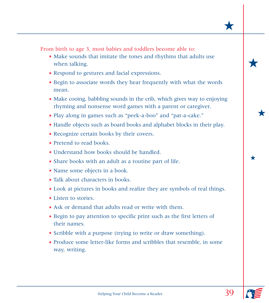From birth to age 3, most babies and toddlers become able to:

- ★ Make sounds that imitate the tones and rhythms that adults use when talking.
- ★ Respond to gestures and facial expressions.
- $\star$  Begin to associate words they hear frequently with what the words mean.
- $\star$  Make cooing, babbling sounds in the crib, which gives way to enjoying rhyming and nonsense word games with a parent or caregiver.
- ★ Play along in games such as "peek-a-boo" and "pat-a-cake."
- $\star$  Handle objects such as board books and alphabet blocks in their play.
- ★ Recognize certain books by their covers.
- ★ Pretend to read books.
- ★ Understand how books should be handled.
- ★ Share books with an adult as a routine part of life.
- ★ Name some objects in a book.
- ★ Talk about characters in books.
- ★ Look at pictures in books and realize they are symbols of real things.
- ★ Listen to stories.
- ★ Ask or demand that adults read or write with them.
- ★ Begin to pay attention to specific print such as the first letters of their names.
- ★ Scribble with a purpose (trying to write or draw something).
- ★ Produce some letter-like forms and scribbles that resemble, in some way, writing.



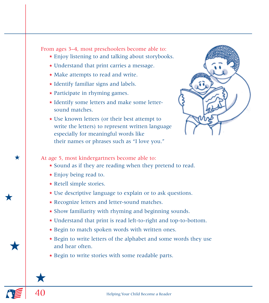From ages 3–4, most preschoolers become able to:

- ★ Enjoy listening to and talking about storybooks.
- ★ Understand that print carries a message.
- ★ Make attempts to read and write.
- ★ Identify familiar signs and labels.
- ★ Participate in rhyming games.
- ★ Identify some letters and make some lettersound matches.
- ★ Use known letters (or their best attempt to write the letters) to represent written language especially for meaningful words like their names or phrases such as "I love you."



### At age 5, most kindergartners become able to:

- ★ Sound as if they are reading when they pretend to read.
- ★ Enjoy being read to.
- ★ Retell simple stories.
- ★ Use descriptive language to explain or to ask questions.
- ★ Recognize letters and letter-sound matches.
- ★ Show familiarity with rhyming and beginning sounds.
- ★ Understand that print is read left-to-right and top-to-bottom.
- ★ Begin to match spoken words with written ones.
- ★ Begin to write letters of the alphabet and some words they use and hear often.
- ★ Begin to write stories with some readable parts.



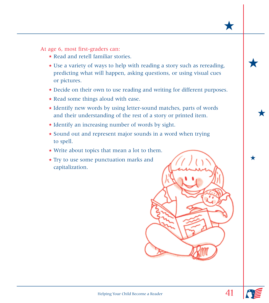### At age 6, most first-graders can:

- ★ Read and retell familiar stories.
- $\star$  Use a variety of ways to help with reading a story such as rereading, predicting what will happen, asking questions, or using visual cues or pictures.
- ★ Decide on their own to use reading and writing for different purposes.
- ★ Read some things aloud with ease.
- ★ Identify new words by using letter-sound matches, parts of words and their understanding of the rest of a story or printed item.
- ★ Identify an increasing number of words by sight.
- ★ Sound out and represent major sounds in a word when trying to spell.
- ★ Write about topics that mean a lot to them.
- ★ Try to use some punctuation marks and capitalization.

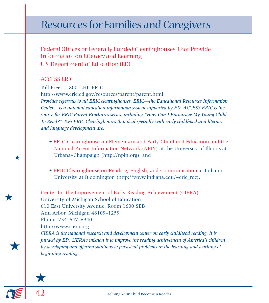## Resources for Families and Caregivers

Federal Offices or Federally Funded Clearinghouses That Provide Information on Literacy and Learning U.S. Department of Education (ED)

#### ACCESS ERIC

Toll Free: 1–800–LET–ERIC

http://www.eric.ed.gov/resources/parent/parent.html *Provides referrals to all ERIC clearinghouses. ERIC—the Educational Resources Information Center—is a national education information system supported by ED. ACCESS ERIC is the source for ERIC Parent Brochures series, including "How Can I Encourage My Young Child To Read?" Two ERIC Clearinghouses that deal specially with early childhood and literacy and language development are:*

- ★ ERIC Clearinghouse on Elementary and Early Childhood Education and the National Parent Information Network (NPIN) at the University of Illinois at Urbana–Champaign (http://npin.org); and
- ★ ERIC Clearinghouse on Reading, English, and Communication at Indiana University at Bloomington (http://www.indiana.edu/~eric\_rec).

Center for the Improvement of Early Reading Achievement (CIERA) University of Michigan School of Education 610 East University Avenue, Room 1600 SEB Ann Arbor, Michigan 48109–1259 Phone: 734–647–6940 http://www.ciera.org *CIERA is the national research and development center on early childhood reading. It is funded by ED. CIERA's mission is to improve the reading achievement of America's children by developing and offering solutions to persistent problems in the learning and teaching of beginning reading.*

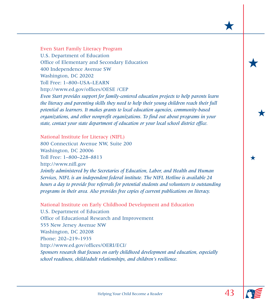Even Start Family Literacy Program U.S. Department of Education Office of Elementary and Secondary Education 400 Independence Avenue SW Washington, DC 20202 Toll Free: 1–800–USA–LEARN http://www.ed.gov/offices/OESE /CEP *Even Start provides support for family-centered education projects to help parents learn the literacy and parenting skills they need to help their young children reach their full potential as learners. It makes grants to local education agencies, community-based organizations, and other nonprofit organizations. To find out about programs in your state, contact your state department of education or your local school district office.*

National Institute for Literacy (NIFL) 800 Connecticut Avenue NW, Suite 200

Washington, DC 20006 Toll Free: 1–800–228–8813 http://www.nifl.gov *Jointly administered by the Secretaries of Education, Labor, and Health and Human Services, NIFL is an independent federal institute. The NIFL Hotline is available 24 hours a day to provide free referrals for potential students and volunteers to outstanding programs in their area. Also provides free copies of current publications on literacy.*

National Institute on Early Childhood Development and Education U.S. Department of Education Office of Educational Research and Improvement 555 New Jersey Avenue NW Washington, DC 20208 Phone: 202–219–1935 http://www.ed.gov/offices/OERI/ECI/ *Sponsors research that focuses on early childhood development and education, especially school readiness, child/adult relationships, and children's resilience.*

43

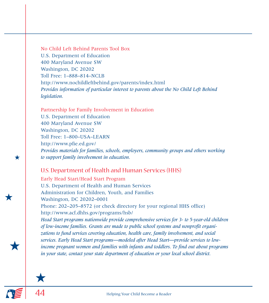No Child Left Behind Parents Tool Box U.S. Department of Education 400 Maryland Avenue SW Washington, DC 20202 Toll Free: 1–888–814–NCLB http://www.nochildleftbehind.gov/parents/index.html *Provides information of particular interest to parents about the No Child Left Behind legislation.*

Partnership for Family Involvement in Education U.S. Department of Education 400 Maryland Avenue SW Washington, DC 20202 Toll Free: 1–800–USA–LEARN http://www.pfie.ed.gov/ *Provides materials for families, schools, employers, community groups and others working to support family involvement in education.*

### U.S. Department of Health and Human Services (HHS)

Early Head Start/Head Start Program U.S. Department of Health and Human Services Administration for Children, Youth, and Families Washington, DC 20202–0001 Phone: 202–205–8572 (or check directory for your regional HHS office) http://www.acf.dhhs.gov/programs/hsb/ *Head Start programs nationwide provide comprehensive services for 3- to 5-year-old children of low-income families. Grants are made to public school systems and nonprofit organizations to fund services covering education, health care, family involvement, and social services. Early Head Start programs—modeled after Head Start—provide services to lowincome pregnant women and families with infants and toddlers. To find out about programs in your state, contact your state department of education or your local school district.*



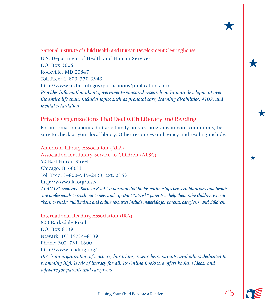National Institute of Child Health and Human Development Clearinghouse

U.S. Department of Health and Human Services P.O. Box 3006 Rockville, MD 20847 Toll Free: 1–800–370–2943 http://www.nichd.nih.gov/publications/publications.htm *Provides information about government-sponsored research on human development over the entire life span. Includes topics such as prenatal care, learning disabilities, AIDS, and mental retardation.*

## Private Organizations That Deal with Literacy and Reading

For information about adult and family literacy programs in your community, be sure to check at your local library. Other resources on literacy and reading include:

American Library Association (ALA) Association for Library Service to Children (ALSC) 50 East Huron Street Chicago, IL 60611 Toll Free: 1–800–545–2433, ext. 2163 http://www.ala.org/alsc/ *ALA/ALSC sponsors "Born To Read," a program that builds partnerships between librarians and health care professionals to reach out to new and expectant "at-risk" parents to help them raise children who are "born to read." Publications and online resources include materials for parents, caregivers, and children.*

International Reading Association (IRA) 800 Barksdale Road P.O. Box 8139 Newark, DE 19714–8139 Phone: 302–731–1600 http://www.reading.org/ *IRA is an organization of teachers, librarians, researchers, parents, and others dedicated to promoting high levels of literacy for all. Its Online Bookstore offers books, videos, and software for parents and caregivers.*

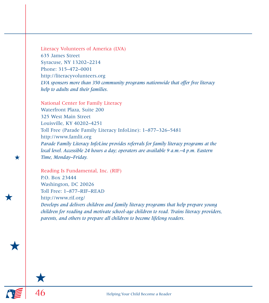Literacy Volunteers of America (LVA) 635 James Street Syracuse, NY 13202–2214 Phone: 315–472–0001 http://literacyvolunteers.org *LVA sponsors more than 350 community programs nationwide that offer free literacy help to adults and their families.*

National Center for Family Literacy Waterfront Plaza, Suite 200 325 West Main Street Louisville, KY 40202–4251 Toll Free (Parade Family Literacy InfoLine): 1–877–326–5481 http://www.famlit.org *Parade Family Literacy InfoLine provides referrals for family literacy programs at the local level. Accessible 24 hours a day; operators are available 9 a.m.–4 p.m. Eastern Time, Monday–Friday.*

Reading Is Fundamental, Inc. (RIF) P.O. Box 23444 Washington, DC 20026 Toll Free: 1–877–RIF–READ http://www.rif.org/ *Develops and delivers children and family literacy programs that help prepare young children for reading and motivate school-age children to read. Trains literacy providers, parents, and others to prepare all children to become lifelong readers.*



 $\bigstar$ 

 $46 \,$  Helping Your Child Become a Reader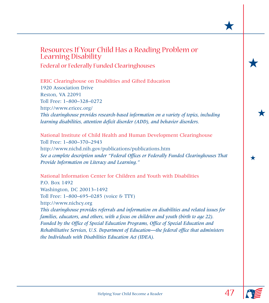## Resources If Your Child Has a Reading Problem or Learning Disability

Federal or Federally Funded Clearinghouses

ERIC Clearinghouse on Disabilities and Gifted Education 1920 Association Drive Reston, VA 22091 Toll Free: 1–800–328–0272 http://www.ericec.org/ *This clearinghouse provides research-based information on a variety of topics, including learning disabilities, attention deficit disorder (ADD), and behavior disorders.*

National Institute of Child Health and Human Development Clearinghouse Toll Free: 1–800–370–2943 http://www.nichd.nih.gov/publications/publications.htm *See a complete description under "Federal Offices or Federally Funded Clearinghouses That Provide Information on Literacy and Learning."*

National Information Center for Children and Youth with Disabilities P.O. Box 1492 Washington, DC 20013–1492 Toll Free: 1–800–695–0285 (voice & TTY) http://www.nichcy.org *This clearinghouse provides referrals and information on disabilities and related issues for families, educators, and others, with a focus on children and youth (birth to age 22). Funded by the Office of Special Education Programs, Office of Special Education and Rehabilitative Services, U.S. Department of Education—the federal office that administers the Individuals with Disabilities Education Act (IDEA).*



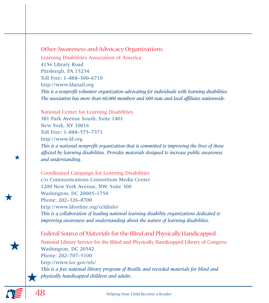### Other Awareness and Advocacy Organizations

Learning Disabilities Association of America 4156 Library Road Pittsburgh, PA 15234 Toll Free: 1–888–300–6710 http://www.ldanatl.org *This is a nonprofit volunteer organization advocating for individuals with learning disabilities. The association has more than 60,000 members and 600 state and local affiliates nationwide.*

National Center for Learning Disabilities 381 Park Avenue South, Suite 1401 New York, NY 10016 Toll Free: 1–888–575–7373 http://www.ld.org *This is a national nonprofit organization that is committed to improving the lives of those affected by learning disabilities. Provides materials designed to increase public awareness and understanding.*

Coordinated Campaign for Learning Disabilities c/o Communications Consortium Media Center 1200 New York Avenue, NW, Suite 300 Washington, DC 20005–1754 Phone: 202–326–8700 http://www.ldonline.org/ccldinfo/ *This is a collaboration of leading national learning disability organizations dedicated to improving awareness and understanding about the nature of learning disabilities.*

Federal Source of Materials for the Blind and Physically Handicapped National Library Service for the Blind and Physically Handicapped Library of Congress Washington, DC 20542 Phone: 202–707–5100 http://www.loc.gov/nls/ *This is a free national library program of Braille and recorded materials for blind and physically handicapped children and adults.*



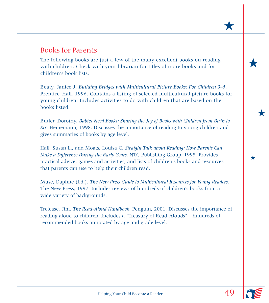## Books for Parents

The following books are just a few of the many excellent books on reading with children. Check with your librarian for titles of more books and for children's book lists.

Beaty, Janice J. *Building Bridges with Multicultural Picture Books: For Children 3–5.* Prentice–Hall, 1996. Contains a listing of selected multicultural picture books for young children. Includes activities to do with children that are based on the books listed.

Butler, Dorothy. *Babies Need Books: Sharing the Joy of Books with Children from Birth to Six.* Heinemann, 1998. Discusses the importance of reading to young children and gives summaries of books by age level.

Hall, Susan L., and Moats, Louisa C. *Straight Talk about Reading: How Parents Can Make a Difference During the Early Years.* NTC Publishing Group. 1998. Provides practical advice, games and activities, and lists of children's books and resources that parents can use to help their children read.

Muse, Daphne (Ed.). *The New Press Guide to Multicultural Resources for Young Readers.* The New Press, 1997. Includes reviews of hundreds of children's books from a wide variety of backgrounds.

Trelease, Jim. *The Read-Aloud Handbook.* Penguin, 2001. Discusses the importance of reading aloud to children. Includes a "Treasury of Read-Alouds"—hundreds of recommended books annotated by age and grade level.

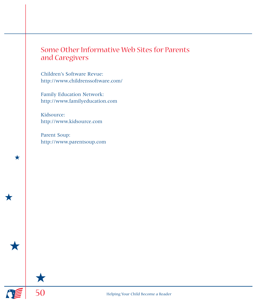## Some Other Informative Web Sites for Parents and Caregivers

Children's Software Revue: http://www.childrenssoftware.com/

Family Education Network: http://www.familyeducation.com

Kidsource: http://www.kidsource.com

Parent Soup: http://www.parentsoup.com

 $\bigstar$ 

Ж

50 Helping Your Child Become a Reader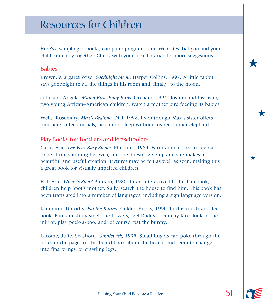## Resources for Children

Here's a sampling of books, computer programs, and Web sites that you and your child can enjoy together. Check with your local librarian for more suggestions.

#### **Babies**

Brown, Margaret Wise. *Goodnight Moon.* Harper Collins, 1997. A little rabbit says goodnight to all the things in his room and, finally, to the moon.

Johnson, Angela. *Mama Bird, Baby Birds.* Orchard, 1994. Joshua and his sister, two young African–American children, watch a mother bird feeding its babies.

Wells, Rosemary. *Max's Bedtime.* Dial, 1998. Even though Max's sister offers him her stuffed animals, he cannot sleep without his red rubber elephant.

### Play Books for Toddlers and Preschoolers

Carle, Eric. *The Very Busy Spider.* Philomel, 1984. Farm animals try to keep a spider from spinning her web, but she doesn't give up and she makes a beautiful and useful creation. Pictures may be felt as well as seen, making this a great book for visually impaired children.

Hill, Eric. *Where's Spot?* Putnam, 1980. In an interactive lift-the-flap book, children help Spot's mother, Sally, search the house to find him. This book has been translated into a number of languages, including a sign language version.

Kunhardt, Dorothy. *Pat the Bunny*. Golden Books, 1990. In this touch-and-feel book, Paul and Judy smell the flowers, feel Daddy's scratchy face, look in the mirror, play peek-a-boo, and, of course, pat the bunny.

Lacome, Julie. Seashore. *Candlewick,* 1995. Small fingers can poke through the holes in the pages of this board book about the beach, and seem to change into fins, wings, or crawling legs.

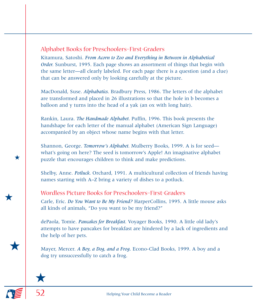## Alphabet Books for Preschoolers–First-Graders

Kitamura, Satoshi. *From Acorn to Zoo and Everything in Between in Alphabetical Order.* Sunburst, 1995. Each page shows an assortment of things that begin with the same letter—all clearly labeled. For each page there is a question (and a clue) that can be answered only by looking carefully at the picture.

MacDonald, Suse. *Alphabatics.* Bradbury Press, 1986. The letters of the alphabet are transformed and placed in 26 illustrations so that the hole in b becomes a balloon and y turns into the head of a yak (an ox with long hair).

Rankin, Laura. *The Handmade Alphabet.* Puffin, 1996. This book presents the handshape for each letter of the manual alphabet (American Sign Language) accompanied by an object whose name begins with that letter.

Shannon, George. *Tomorrow's Alphabet.* Mulberry Books, 1999. A is for seed what's going on here? The seed is tomorrow's Apple! An imaginative alphabet puzzle that encourages children to think and make predictions.

Shelby, Anne. *Potluck.* Orchard, 1991. A multicultural collection of friends having names starting with A–Z bring a variety of dishes to a potluck.

### Wordless Picture Books for Preschoolers–First-Graders

Carle, Eric. *Do You Want to Be My Friend?* HarperCollins, 1995. A little mouse asks all kinds of animals, "Do you want to be my friend?"

dePaola, Tomie. *Pancakes for Breakfast.* Voyager Books, 1990. A little old lady's attempts to have pancakes for breakfast are hindered by a lack of ingredients and the help of her pets.

Mayer, Mercer. *A Boy, a Dog, and a Frog*. Econo-Clad Books, 1999. A boy and a dog try unsuccessfully to catch a frog.

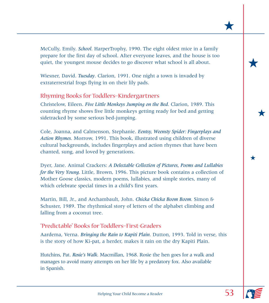McCully, Emily. *School.* HarperTrophy, 1990. The eight oldest mice in a family prepare for the first day of school. After everyone leaves, and the house is too quiet, the youngest mouse decides to go discover what school is all about.

Wiesner, David. *Tuesday*. Clarion, 1991. One night a town is invaded by extraterrestrial frogs flying in on their lily pads.

## Rhyming Books for Toddlers–Kindergartners

Christelow, Eileen. *Five Little Monkeys Jumping on the Bed.* Clarion, 1989. This counting rhyme shows five little monkeys getting ready for bed and getting sidetracked by some serious bed-jumping.

Cole, Joanna, and Calmenson, Stephanie. *Eentsy, Weensty Spider: Fingerplays and Action Rhymes.* Morrow, 1991. This book, illustrated using children of diverse cultural backgrounds, includes fingerplays and action rhymes that have been chanted, sung, and loved by generations.

Dyer, Jane. Animal Crackers: *A Delectable Collection of Pictures, Poems and Lullabies for the Very Young.* Little, Brown, 1996. This picture book contains a collection of Mother Goose classics, modern poems, lullabies, and simple stories, many of which celebrate special times in a child's first years.

Martin, Bill, Jr., and Archambault, John. *Chicka Chicka Boom Boom.* Simon & Schuster, 1989. The rhythmical story of letters of the alphabet climbing and falling from a coconut tree.

### "Predictable" Books for Toddlers–First-Graders

Aardema, Verna. *Bringing the Rain to Kapiti Plain.* Dutton, 1993. Told in verse, this is the story of how Ki-pat, a herder, makes it rain on the dry Kapiti Plain.

Hutchins, Pat. *Rosie's Walk.* Macmillan, 1968. Rosie the hen goes for a walk and manages to avoid many attempts on her life by a predatory fox. Also available in Spanish.

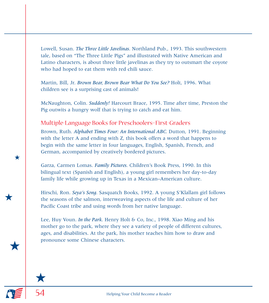Lowell, Susan. *The Three Little Javelinas.* Northland Pub., 1993. This southwestern tale, based on "The Three Little Pigs" and illustrated with Native American and Latino characters, is about three little javelinas as they try to outsmart the coyote who had hoped to eat them with red chili sauce.

Martin, Bill, Jr. *Brown Bear, Brown Bear What Do You See?* Holt, 1996. What children see is a surprising cast of animals!

McNaughton, Colin. *Suddenly!* Harcourt Brace, 1995. Time after time, Preston the Pig outwits a hungry wolf that is trying to catch and eat him.

#### Multiple-Language Books for Preschoolers–First-Graders

Brown, Ruth. *Alphabet Times Four: An International ABC.* Dutton, 1991. Beginning with the letter A and ending with Z, this book offers a word that happens to begin with the same letter in four languages, English, Spanish, French, and German, accompanied by creatively bordered pictures.

Garza, Carmen Lomas. *Family Pictures.* Children's Book Press, 1990. In this bilingual text (Spanish and English), a young girl remembers her day-to-day family life while growing up in Texas in a Mexican–American culture.

Hirschi, Ron. *Seya's Song.* Sasquatch Books, 1992. A young S'Klallam girl follows the seasons of the salmon, interweaving aspects of the life and culture of her Pacific Coast tribe and using words from her native language.

Lee, Huy Voun. *In the Park.* Henry Holt & Co, Inc., 1998. Xiao Ming and his mother go to the park, where they see a variety of people of different cultures, ages, and disabilities. At the park, his mother teaches him how to draw and pronounce some Chinese characters.



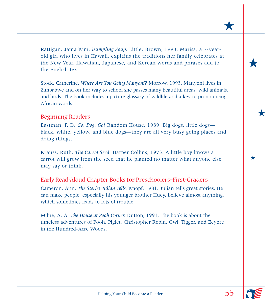Rattigan, Jama Kim. *Dumpling Soup.* Little, Brown, 1993. Marisa, a 7-yearold girl who lives in Hawaii, explains the traditions her family celebrates at the New Year. Hawaiian, Japanese, and Korean words and phrases add to the English text.

Stock, Catherine. *Where Are You Going Manyoni?* Morrow, 1993. Manyoni lives in Zimbabwe and on her way to school she passes many beautiful areas, wild animals, and birds. The book includes a picture glossary of wildlife and a key to pronouncing African words.

### Beginning Readers

Eastman, P. D. *Go, Dog. Go!* Random House, 1989. Big dogs, little dogs black, white, yellow, and blue dogs—they are all very busy going places and doing things.

Krauss, Ruth. *The Carrot Seed*. Harper Collins, 1973. A little boy knows a carrot will grow from the seed that he planted no matter what anyone else may say or think.

## Early Read-Aloud Chapter Books for Preschoolers–First-Graders

Cameron, Ann. *The Stories Julian Tells.* Knopf, 1981. Julian tells great stories. He can make people, especially his younger brother Huey, believe almost anything, which sometimes leads to lots of trouble.

Milne, A. A. *The House at Pooh Corner.* Dutton, 1991. The book is about the timeless adventures of Pooh, Piglet, Christopher Robin, Owl, Tigger, and Eeyore in the Hundred-Acre Woods.

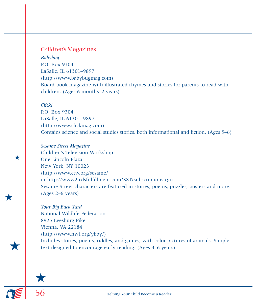#### Children's Magazines

*Babybug* P.O. Box 9304 LaSalle, IL 61301–9897 (http://www.babybugmag.com) Board-book magazine with illustrated rhymes and stories for parents to read with children. (Ages 6 months–2 years)

#### *Click!*

P.O. Box 9304 LaSalle, IL 61301–9897 (http://www.clickmag.com) Contains science and social studies stories, both informational and fiction. (Ages 5–6)

*Sesame Street Magazine* Children's Television Workshop One Lincoln Plaza New York, NY 10023 (http://www.ctw.org/sesame/ or http://www2.cdsfulfillment.com/SST/subscriptions.cgi) Sesame Street characters are featured in stories, poems, puzzles, posters and more. (Ages 2–6 years)

*Your Big Back Yard* National Wildlife Federation 8925 Leesburg Pike Vienna, VA 22184 (http://www.nwf.org/ybby/) Includes stories, poems, riddles, and games, with color pictures of animals. Simple text designed to encourage early reading. (Ages 3–6 years)

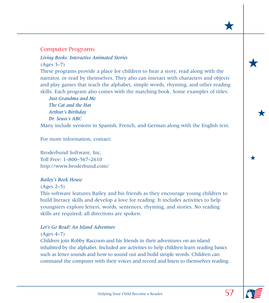### Computer Programs

*Living Books: Interactive Animated Stories* (Ages 3–7)

These programs provide a place for children to hear a story, read along with the narrator, or read by themselves. They also can interact with characters and objects and play games that teach the alphabet, simple words, rhyming, and other reading skills. Each program also comes with the matching book. Some examples of titles:

*Just Grandma and Me The Cat and the Hat Arthur's Birthday Dr. Seuss's ABC* 

Many include versions in Spanish, French, and German along with the English text.

For more information, contact:

Broderbund Software, Inc. Toll Free: 1–800–567–2610 http://www.broderbund.com/

#### *Bailey's Book House*

(Ages 2–5)

This software features Bailey and his friends as they encourage young children to build literacy skills and develop a love for reading. It includes activities to help youngsters explore letters, words, sentences, rhyming, and stories. No reading skills are required; all directions are spoken.

### *Let's Go Read! An Island Adventure*

(Ages 4–7)

Children join Robby Raccoon and his friends in their adventures on an island inhabited by the alphabet. Included are activities to help children learn reading basics such as letter sounds and how to sound out and build simple words. Children can command the computer with their voices and record and listen to themselves reading.

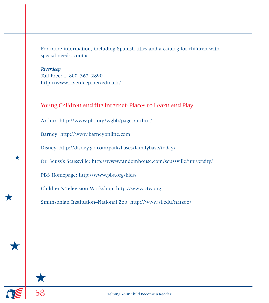For more information, including Spanish titles and a catalog for children with special needs, contact:

*Riverdeep* Toll Free: 1–800–362–2890 http://www.riverdeep.net/edmark/

## Young Children and the Internet: Places to Learn and Play

Arthur: http://www.pbs.org/wgbh/pages/arthur/

Barney: http://www.barneyonline.com

Disney: http://disney.go.com/park/bases/familybase/today/

Dr. Seuss's Seussville: http://www.randomhouse.com/seussville/university/

PBS Homepage: http://www.pbs.org/kids/

Children's Television Workshop: http://www.ctw.org

Smithsonian Institution–National Zoo: http://www.si.edu/natzoo/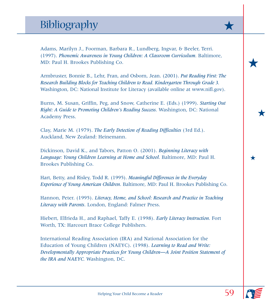# Bibliography

Adams, Marilyn J., Foorman, Barbara R., Lundberg, Ingvar, & Beeler, Terri. (1997). *Phonemic Awareness in Young Children: A Classroom Curriculum.* Baltimore, MD: Paul H. Brookes Publishing Co.

Armbruster, Bonnie B., Lehr, Fran, and Osborn, Jean. (2001). *Put Reading First: The Research Building Blocks for Teaching Children to Read. Kindergarten Through Grade 3.* Washington, DC: National Institute for Literacy (available online at www.nifl.gov).

Burns, M. Susan, Griffin, Peg, and Snow, Catherine E. (Eds.) (1999). *Starting Out Right: A Guide to Promoting Children's Reading Success.* Washington, DC: National Academy Press.

Clay, Marie M. (1979). *The Early Detection of Reading Difficulties* (3rd Ed.). Auckland, New Zealand: Heinemann.

Dickinson, David K., and Tabors, Patton O. (2001). *Beginning Literacy with Language: Young Children Learning at Home and School.* Baltimore, MD: Paul H. Brookes Publishing Co.

Hart, Betty, and Risley, Todd R. (1995). *Meaningful Differences in the Everyday Experience of Young American Children*. Baltimore, MD: Paul H. Brookes Publishing Co.

Hannon, Peter. (1995). *Literacy, Home, and School: Research and Practice in Teaching Literacy with Parents*. London, England: Falmer Press.

Hiebert, Elfrieda H., and Raphael, Taffy E. (1998). *Early Literacy Instruction.* Fort Worth, TX: Harcourt Brace College Publishers.

International Reading Association (IRA) and National Association for the Education of Young Children (NAEYC). (1998). *Learning to Read and Write: Developmentally Appropriate Practices for Young Children—A Joint Position Statement of the IRA and NAEYC.* Washington, DC.

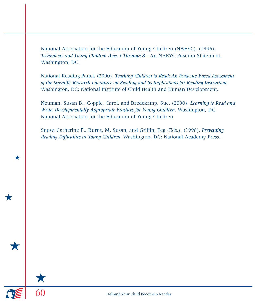National Association for the Education of Young Children (NAEYC). (1996). *Technology and Young Children Ages 3 Through 8*—An NAEYC Position Statement. Washington, DC.

National Reading Panel. (2000). *Teaching Children to Read: An Evidence-Based Assessment of the Scientific Research Literature on Reading and Its Implications for Reading Instruction.* Washington, DC: National Institute of Child Health and Human Development.

Neuman, Susan B., Copple, Carol, and Bredekamp, Sue. (2000). *Learning to Read and Write: Developmentally Appropriate Practices for Young Children.* Washington, DC: National Association for the Education of Young Children.

Snow, Catherine E., Burns, M. Susan, and Griffin, Peg (Eds.). (1998). *Preventing Reading Difficulties in Young Children.* Washington, DC: National Academy Press.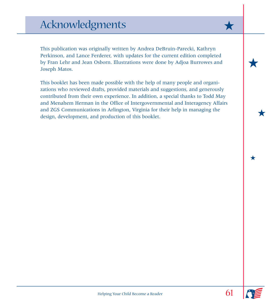This publication was originally written by Andrea DeBruin-Parecki, Kathryn Perkinson, and Lance Ferderer, with updates for the current edition completed by Fran Lehr and Jean Osborn. Illustrations were done by Adjoa Burrowes and Joseph Matos.

This booklet has been made possible with the help of many people and organizations who reviewed drafts, provided materials and suggestions, and generously contributed from their own experience. In addition, a special thanks to Todd May and Menahem Herman in the Office of Intergovernmental and Interagency Affairs and ZGS Communications in Arlington, Virginia for their help in managing the design, development, and production of this booklet.





61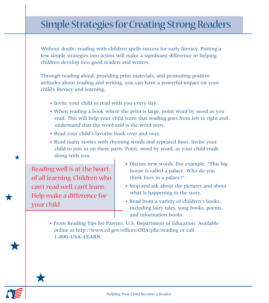## Simple Strategies for Creating Strong Readers

Without doubt, reading with children spells success for early literacy. Putting a few simple strategies into action will make a significant difference in helping children develop into good readers and writers.

Through reading aloud, providing print materials, and promoting positive attitudes about reading and writing, you can have a powerful impact on your child's literacy and learning.

- ★ Invite your child to read with you every day.
- ★ When reading a book where the print is large, point word by word as you read. This will help your child learn that reading goes from left to right and understand that the word said is the word seen.
- ★ Read your child's favorite book over and over.
- ★ Read many stories with rhyming words and repeated lines. Invite your child to join in on these parts. Point, word by word, as your child reads along with you.

Reading well is at the heart of all learning. Children who can't read well, can't learn. Help make a difference for your child.

- ★ Discuss new words. For example, "This big house is called a palace. Who do you think lives in a palace?"
- ★ Stop and ask about the pictures and about what is happening in the story.
- ★ Read from a variety of children's books, including fairy tales, song books, poems, and information books.
- ★ From Reading Tips for Parents, U.S. Department of Education. Available online at http://www.ed.gov/offices/OIIA/pfie/reading or call 1–800–USA–LEARN.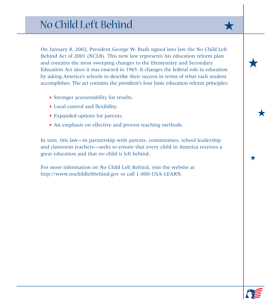## No Child Left Behind

On January 8, 2002, President George W. Bush signed into law the No Child Left Behind Act of 2001 (NCLB). This new law represents his education reform plan and contains the most sweeping changes to the Elementary and Secondary Education Act since it was enacted in 1965. It changes the federal role in education by asking America's schools to describe their success in terms of what each student accomplishes. The act contains the president's four basic education reform principles:

- ★ Stronger accountability for results.
- ★ Local control and flexibility.
- ★ Expanded options for parents.
- ★ An emphasis on effective and proven teaching methods.

In sum, this law—in partnership with parents, communities, school leadership and classroom teachers—seeks to ensure that every child in America receives a great education and that no child is left behind.

For more information on No Child Left Behind, visit the website at http://www.nochildleftbehind.gov or call 1-800-USA-LEARN.